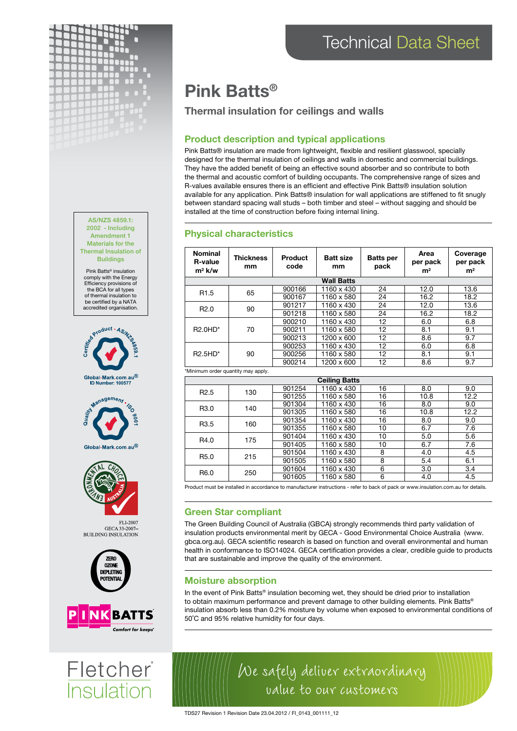



Pink Batts® insulation comply with the Energy Efficiency provisions of the BCA for all types of thermal insulation to be certified by a NATA accredited organisation.









FLI-2007 GECA 33-2007-**BUILDING INSULATION** 





Fletcher **Insulation** 

# Pink Batts®

## Thermal insulation for ceilings and walls

## Product description and typical applications

Pink Batts® insulation are made from lightweight, flexible and resilient glasswool, specially designed for the thermal insulation of ceilings and walls in domestic and commercial buildings. They have the added benefit of being an effective sound absorber and so contribute to both the thermal and acoustic comfort of building occupants. The comprehensive range of sizes and R-values available ensures there is an efficient and effective Pink Batts® insulation solution available for any application. Pink Batts® insulation for wall applications are stiffened to fit snugly between standard spacing wall studs – both timber and steel – without sagging and should be installed at the time of construction before fixing internal lining.

### Physical characteristics

| <b>Nominal</b><br><b>R-value</b><br>$m^2$ k/w | <b>Thickness</b><br>mm | <b>Product</b><br>code | <b>Batt size</b><br>mm | <b>Batts per</b><br>pack | Area<br>per pack<br>m <sup>2</sup> | Coverage<br>per pack<br>m <sup>2</sup> |  |  |  |
|-----------------------------------------------|------------------------|------------------------|------------------------|--------------------------|------------------------------------|----------------------------------------|--|--|--|
| <b>Wall Batts</b>                             |                        |                        |                        |                          |                                    |                                        |  |  |  |
| R <sub>1.5</sub>                              | 65                     | 900166                 | 1160 x 430             | 24                       | 12.0                               | 13.6                                   |  |  |  |
|                                               |                        | 900167                 | 1160 x 580             | 24                       | 16.2                               | 18.2                                   |  |  |  |
| R <sub>2.0</sub>                              | 90                     | 901217                 | 1160 x 430             | 24                       | 12.0                               | 13.6                                   |  |  |  |
|                                               |                        | 901218                 | 1160 x 580             | 24                       | 16.2                               | 18.2                                   |  |  |  |
| R2.0HD*                                       | 70                     | 900210                 | 1160 x 430             | 12                       | 6.0                                | 6.8                                    |  |  |  |
|                                               |                        | 900211                 | 1160 x 580             | 12                       | 8.1                                | 9.1                                    |  |  |  |
|                                               |                        | 900213                 | 1200 x 600             | 12                       | 8.6                                | 9.7                                    |  |  |  |
| $R2.5HD^*$                                    | 90                     | 900253                 | 1160 x 430             | 12                       | 6.0                                | 6.8                                    |  |  |  |
|                                               |                        | 900256                 | 1160 x 580             | 12                       | 8.1                                | 9.1                                    |  |  |  |
|                                               |                        | 900214                 | 1200 x 600             | 12                       | 8.6                                | 9.7                                    |  |  |  |
| *Minimum order quantity may apply.            |                        |                        |                        |                          |                                    |                                        |  |  |  |
| <b>Ceiling Batts</b>                          |                        |                        |                        |                          |                                    |                                        |  |  |  |
| R <sub>2.5</sub>                              | 130                    | 901254                 | 1160 x 430             | 16                       | 8.0                                | 9.0                                    |  |  |  |
|                                               |                        | 901255                 | 1160 x 580             | 16                       | 10.8                               | 12.2                                   |  |  |  |
| R <sub>3.0</sub>                              | 140                    | 901304                 | 1160 x 430             | 16                       | 8.0                                | 9.0                                    |  |  |  |
|                                               |                        | 901305                 | 1160 x 580             | 16                       | 10.8                               | 12.2                                   |  |  |  |

|                  |     | <u>JU I UUJ</u> | ,,,,,,,,,,, | . . | 1 U.U                                         | 14.L |
|------------------|-----|-----------------|-------------|-----|-----------------------------------------------|------|
| R <sub>3.5</sub> | 160 | 901354          | 1160 x 430  | 16  | 8.0                                           | 9.0  |
|                  |     | 901355          | 1160 x 580  | 10  | 6.7<br>5.0<br>6.7<br>4.0<br>5.4<br>3.0<br>4.0 | 7.6  |
| R4.0             | 175 | 901404          | 1160 x 430  | 10  |                                               | 5.6  |
|                  |     | 901405          | 1160 x 580  | 10  |                                               | 7.6  |
| R <sub>5.0</sub> | 215 | 901504          | 1160 x 430  | 8   |                                               | 4.5  |
|                  |     | 901505          | 1160 x 580  | 8   |                                               | 6.1  |
| R <sub>6.0</sub> | 250 | 901604          | 1160 x 430  | 6   |                                               | 3.4  |
|                  |     | 901605          | 1160 x 580  | 6   |                                               | 4.5  |

Product must be installed in accordance to manufacturer instructions - refer to back of pack or www.insulation.com.au for details.

## Green Star compliant

The Green Building Council of Australia (GBCA) strongly recommends third party validation of insulation products environmental merit by GECA - Good Environmental Choice Australia (www. gbca.org.au). GECA scientific research is based on function and overall environmental and human health in conformance to ISO14024. GECA certification provides a clear, credible guide to products that are sustainable and improve the quality of the environment.

## Moisture absorption

In the event of Pink Batts® insulation becoming wet, they should be dried prior to installation to obtain maximum performance and prevent damage to other building elements. Pink Batts® insulation absorb less than 0.2% moisture by volume when exposed to environmental conditions of 50˚C and 95% relative humidity for four days.